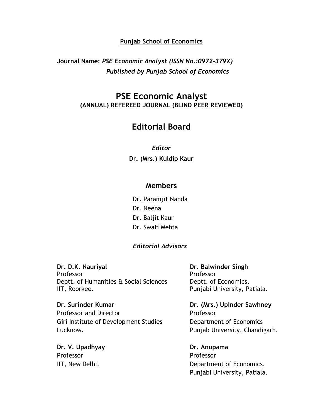#### **Punjab School of Economics**

**Journal Name:** *PSE Economic Analyst (ISSN No.:0972-379X) Published by Punjab School of Economics*

## **PSE Economic Analyst (ANNUAL) REFEREED JOURNAL (BLIND PEER REVIEWED)**

# **Editorial Board**

*Editor* **Dr. (Mrs.) Kuldip Kaur**

#### **Members**

Dr. Paramjit Nanda

- Dr. Neena
- Dr. Baljit Kaur
- Dr. Swati Mehta

#### *Editorial Advisors*

**Dr. D.K. Nauriyal Dr. Balwinder Singh** Professor Professor Deptt. of Humanities & Social Sciences Deptt. of Economics, IIT, Roorkee. **Punjabi University, Patiala.** 

**Dr. Surinder Kumar Dr. (Mrs.) Upinder Sawhney** Professor and Director **Professor** Giri Institute of Development Studies **Department of Economics** 

**Dr. V. Upadhyay Dr. Anupama** Professor Professor

Lucknow. Punjab University, Chandigarh.

IIT, New Delhi. **Example 20** and  $\alpha$  Department of Economics, Punjabi University, Patiala.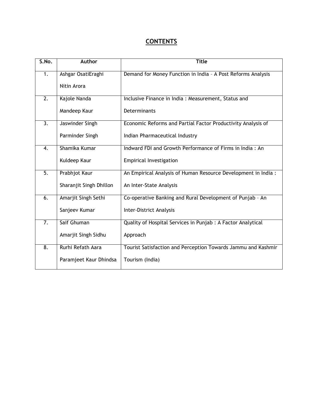### **CONTENTS**

| S.No.            | Author                  | <b>Title</b>                                                   |
|------------------|-------------------------|----------------------------------------------------------------|
| 1.               | Ashgar OsatiEraghi      | Demand for Money Function in India - A Post Reforms Analysis   |
|                  | Nitin Arora             |                                                                |
| $\overline{2}$ . | Kajole Nanda            | Inclusive Finance in India: Measurement, Status and            |
|                  | Mandeep Kaur            | Determinants                                                   |
| $\overline{3}$ . | Jaswinder Singh         | Economic Reforms and Partial Factor Productivity Analysis of   |
|                  | Parminder Singh         | Indian Pharmaceutical Industry                                 |
| $\overline{4}$ . | Shamika Kumar           | Indward FDI and Growth Performance of Firms in India: An       |
|                  | Kuldeep Kaur            | <b>Empirical Investigation</b>                                 |
| $\overline{5}$ . | Prabhjot Kaur           | An Empirical Analysis of Human Resource Development in India : |
|                  | Sharanjit Singh Dhillon | An Inter-State Analysis                                        |
| $\overline{6}$ . | Amarjit Singh Sethi     | Co-operative Banking and Rural Development of Punjab - An      |
|                  | Sanjeev Kumar           | Inter-District Analysis                                        |
| $\overline{7}$ . | Saif Ghuman             | Quality of Hospital Services in Punjab : A Factor Analytical   |
|                  | Amarjit Singh Sidhu     | Approach                                                       |
| $\overline{8}$ . | Rurhi Refath Aara       | Tourist Satisfaction and Perception Towards Jammu and Kashmir  |
|                  | Paramjeet Kaur Dhindsa  | Tourism (India)                                                |